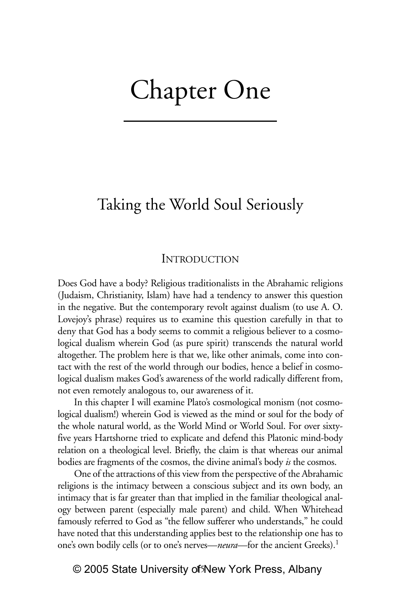# Chapter One

# Taking the World Soul Seriously

### **INTRODUCTION**

Does God have a body? Religious traditionalists in the Abrahamic religions (Judaism, Christianity, Islam) have had a tendency to answer this question in the negative. But the contemporary revolt against dualism (to use A. O. Lovejoy's phrase) requires us to examine this question carefully in that to deny that God has a body seems to commit a religious believer to a cosmological dualism wherein God (as pure spirit) transcends the natural world altogether. The problem here is that we, like other animals, come into contact with the rest of the world through our bodies, hence a belief in cosmological dualism makes God's awareness of the world radically different from, not even remotely analogous to, our awareness of it.

In this chapter I will examine Plato's cosmological monism (not cosmological dualism!) wherein God is viewed as the mind or soul for the body of the whole natural world, as the World Mind or World Soul. For over sixtyfive years Hartshorne tried to explicate and defend this Platonic mind-body relation on a theological level. Briefly, the claim is that whereas our animal bodies are fragments of the cosmos, the divine animal's body *is* the cosmos.

One of the attractions of this view from the perspective of the Abrahamic religions is the intimacy between a conscious subject and its own body, an intimacy that is far greater than that implied in the familiar theological analogy between parent (especially male parent) and child. When Whitehead famously referred to God as "the fellow sufferer who understands," he could have noted that this understanding applies best to the relationship one has to one's own bodily cells (or to one's nerves—*neura*—for the ancient Greeks).<sup>1</sup>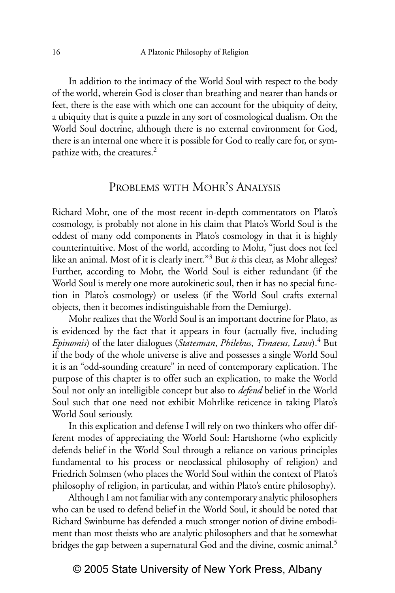In addition to the intimacy of the World Soul with respect to the body of the world, wherein God is closer than breathing and nearer than hands or feet, there is the ease with which one can account for the ubiquity of deity, a ubiquity that is quite a puzzle in any sort of cosmological dualism. On the World Soul doctrine, although there is no external environment for God, there is an internal one where it is possible for God to really care for, or sympathize with, the creatures.<sup>2</sup>

### PROBLEMS WITH MOHR'S ANALYSIS

Richard Mohr, one of the most recent in-depth commentators on Plato's cosmology, is probably not alone in his claim that Plato's World Soul is the oddest of many odd components in Plato's cosmology in that it is highly counterintuitive. Most of the world, according to Mohr, "just does not feel like an animal. Most of it is clearly inert."3 But *is* this clear, as Mohr alleges? Further, according to Mohr, the World Soul is either redundant (if the World Soul is merely one more autokinetic soul, then it has no special function in Plato's cosmology) or useless (if the World Soul crafts external objects, then it becomes indistinguishable from the Demiurge).

Mohr realizes that the World Soul is an important doctrine for Plato, as is evidenced by the fact that it appears in four (actually five, including *Epinomis*) of the later dialogues (*Statesman*, *Philebus*, *Timaeus*, *Laws*).4 But if the body of the whole universe is alive and possesses a single World Soul it is an "odd-sounding creature" in need of contemporary explication. The purpose of this chapter is to offer such an explication, to make the World Soul not only an intelligible concept but also to *defend* belief in the World Soul such that one need not exhibit Mohrlike reticence in taking Plato's World Soul seriously.

In this explication and defense I will rely on two thinkers who offer different modes of appreciating the World Soul: Hartshorne (who explicitly defends belief in the World Soul through a reliance on various principles fundamental to his process or neoclassical philosophy of religion) and Friedrich Solmsen (who places the World Soul within the context of Plato's philosophy of religion, in particular, and within Plato's entire philosophy).

Although I am not familiar with any contemporary analytic philosophers who can be used to defend belief in the World Soul, it should be noted that Richard Swinburne has defended a much stronger notion of divine embodiment than most theists who are analytic philosophers and that he somewhat bridges the gap between a supernatural God and the divine, cosmic animal.<sup>5</sup>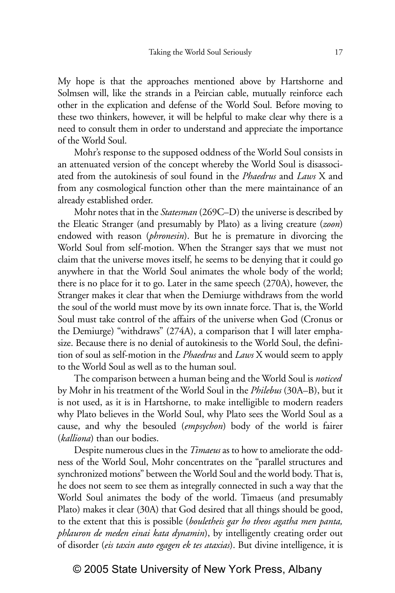My hope is that the approaches mentioned above by Hartshorne and Solmsen will, like the strands in a Peircian cable, mutually reinforce each other in the explication and defense of the World Soul. Before moving to these two thinkers, however, it will be helpful to make clear why there is a need to consult them in order to understand and appreciate the importance of the World Soul.

Mohr's response to the supposed oddness of the World Soul consists in an attenuated version of the concept whereby the World Soul is disassociated from the autokinesis of soul found in the *Phaedrus* and *Laws* X and from any cosmological function other than the mere maintainance of an already established order.

Mohr notes that in the *Statesman* (269C–D) the universe is described by the Eleatic Stranger (and presumably by Plato) as a living creature (*zoon*) endowed with reason (*phronesin*). But he is premature in divorcing the World Soul from self-motion. When the Stranger says that we must not claim that the universe moves itself, he seems to be denying that it could go anywhere in that the World Soul animates the whole body of the world; there is no place for it to go. Later in the same speech (270A), however, the Stranger makes it clear that when the Demiurge withdraws from the world the soul of the world must move by its own innate force. That is, the World Soul must take control of the affairs of the universe when God (Cronus or the Demiurge) "withdraws" (274A), a comparison that I will later emphasize. Because there is no denial of autokinesis to the World Soul, the definition of soul as self-motion in the *Phaedrus* and *Laws* X would seem to apply to the World Soul as well as to the human soul.

The comparison between a human being and the World Soul is *noticed* by Mohr in his treatment of the World Soul in the *Philebus* (30A–B), but it is not used, as it is in Hartshorne, to make intelligible to modern readers why Plato believes in the World Soul, why Plato sees the World Soul as a cause, and why the besouled (*empsychon*) body of the world is fairer (*kalliona*) than our bodies.

Despite numerous clues in the *Timaeus* as to how to ameliorate the oddness of the World Soul, Mohr concentrates on the "parallel structures and synchronized motions" between the World Soul and the world body. That is, he does not seem to see them as integrally connected in such a way that the World Soul animates the body of the world. Timaeus (and presumably Plato) makes it clear (30A) that God desired that all things should be good, to the extent that this is possible (*bouletheis gar ho theos agatha men panta, phlauron de meden einai kata dynamin*), by intelligently creating order out of disorder (*eis taxin auto egagen ek tes ataxias*). But divine intelligence, it is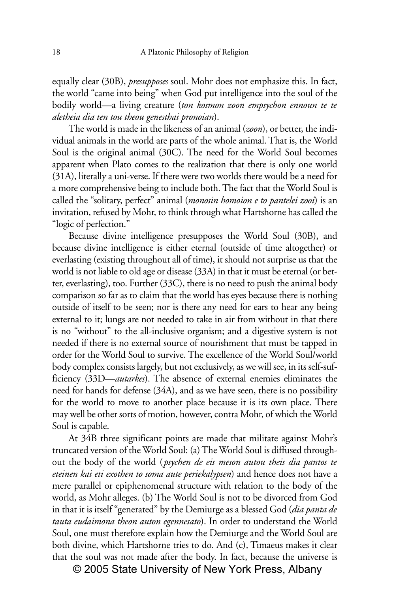equally clear (30B), *presupposes* soul. Mohr does not emphasize this. In fact, the world "came into being" when God put intelligence into the soul of the bodily world—a living creature (*ton kosmon zoon empsychon ennoun te te aletheia dia ten tou theou genesthai pronoian*).

The world is made in the likeness of an animal (*zoon*), or better, the individual animals in the world are parts of the whole animal. That is, the World Soul is the original animal (30C). The need for the World Soul becomes apparent when Plato comes to the realization that there is only one world (31A), literally a uni-verse. If there were two worlds there would be a need for a more comprehensive being to include both. The fact that the World Soul is called the "solitary, perfect" animal (*monosin homoion e to pantelei zooi*) is an invitation, refused by Mohr, to think through what Hartshorne has called the "logic of perfection."

Because divine intelligence presupposes the World Soul (30B), and because divine intelligence is either eternal (outside of time altogether) or everlasting (existing throughout all of time), it should not surprise us that the world is not liable to old age or disease (33A) in that it must be eternal (or better, everlasting), too. Further (33C), there is no need to push the animal body comparison so far as to claim that the world has eyes because there is nothing outside of itself to be seen; nor is there any need for ears to hear any being external to it; lungs are not needed to take in air from without in that there is no "without" to the all-inclusive organism; and a digestive system is not needed if there is no external source of nourishment that must be tapped in order for the World Soul to survive. The excellence of the World Soul/world body complex consists largely, but not exclusively, as we will see, in its self-sufficiency (33D—*autarkes*). The absence of external enemies eliminates the need for hands for defense (34A), and as we have seen, there is no possibility for the world to move to another place because it is its own place. There may well be other sorts of motion, however, contra Mohr, of which the World Soul is capable.

At 34B three significant points are made that militate against Mohr's truncated version of the World Soul: (a) The World Soul is diffused throughout the body of the world (*psychen de eis meson autou theis dia pantos te eteinen kai eti exothen to soma aute periekalypsen*) and hence does not have a mere parallel or epiphenomenal structure with relation to the body of the world, as Mohr alleges. (b) The World Soul is not to be divorced from God in that it is itself "generated" by the Demiurge as a blessed God (*dia panta de tauta eudaimona theon auton egennesato*). In order to understand the World Soul, one must therefore explain how the Demiurge and the World Soul are both divine, which Hartshorne tries to do. And (c), Timaeus makes it clear that the soul was not made after the body. In fact, because the universe is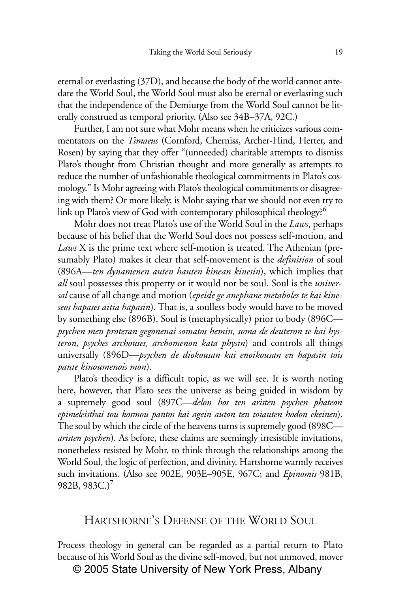eternal or everlasting (37D), and because the body of the world cannot antedate the World Soul, the World Soul must also be eternal or everlasting such that the independence of the Demiurge from the World Soul cannot be literally construed as temporal priority. (Also see 34B–37A, 92C.)

Further, I am not sure what Mohr means when he criticizes various commentators on the *Timaeus* (Cornford, Cherniss, Archer-Hind, Herter, and Rosen) by saying that they offer "(unneeded) charitable attempts to dismiss Plato's thought from Christian thought and more generally as attempts to reduce the number of unfashionable theological commitments in Plato's cosmology." Is Mohr agreeing with Plato's theological commitments or disagreeing with them? Or more likely, is Mohr saying that we should not even try to link up Plato's view of God with contemporary philosophical theology?<sup>6</sup>

Mohr does not treat Plato's use of the World Soul in the *Laws*, perhaps because of his belief that the World Soul does not possess self-motion, and *Laws* X is the prime text where self-motion is treated. The Athenian (presumably Plato) makes it clear that self-movement is the *definition* of soul (896A—*ten dynamenen auten hauten kinean kinesin*), which implies that *all* soul possesses this property or it would not be soul. Soul is the *universal* cause of all change and motion (*epeide ge anephane metaboles te kai kineseos hapases aitia hapasin*). That is, a soulless body would have to be moved by something else (896B). Soul is (metaphysically) prior to body (896C *psychen men proteran gegonenai somatos hemin, soma de deuteron te kai hysteron, psyches archouses, archomenon kata physin*) and controls all things universally (896D—*psychen de diokousan kai enoikousan en hapasin tois pante kinoumenois mon*).

Plato's theodicy is a difficult topic, as we will see. It is worth noting here, however, that Plato sees the universe as being guided in wisdom by a supremely good soul (897C—*delon hos ten aristen psychen phateon epimeleisthai tou kosmou pantos kai agein auton ten toiauten hodon ekeinen*). The soul by which the circle of the heavens turns is supremely good (898C *aristen psychen*). As before, these claims are seemingly irresistible invitations, nonetheless resisted by Mohr, to think through the relationships among the World Soul, the logic of perfection, and divinity. Hartshorne warmly receives such invitations. (Also see 902E, 903E–905E, 967C; and *Epinomis* 981B,  $982B, 983C.$ <sup>7</sup>

HARTSHORNE'S DEFENSE OF THE WORLD SOUL

Process theology in general can be regarded as a partial return to Plato because of his World Soul as the divine self-moved, but not unmoved, mover © 2005 State University of New York Press, Albany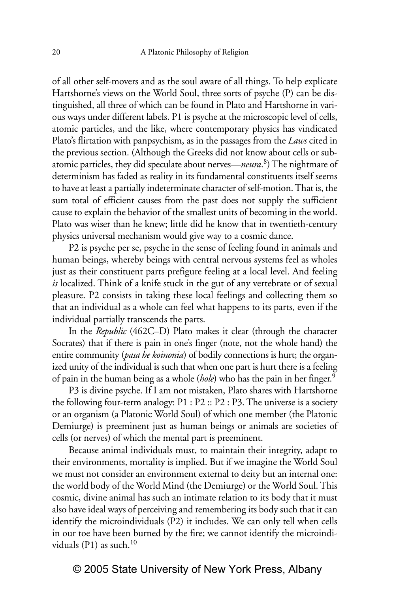of all other self-movers and as the soul aware of all things. To help explicate Hartshorne's views on the World Soul, three sorts of psyche (P) can be distinguished, all three of which can be found in Plato and Hartshorne in various ways under different labels. P1 is psyche at the microscopic level of cells, atomic particles, and the like, where contemporary physics has vindicated Plato's flirtation with panpsychism, as in the passages from the *Laws* cited in the previous section. (Although the Greeks did not know about cells or subatomic particles, they did speculate about nerves—*neura*. 8 ) The nightmare of determinism has faded as reality in its fundamental constituents itself seems to have at least a partially indeterminate character of self-motion. That is, the sum total of efficient causes from the past does not supply the sufficient cause to explain the behavior of the smallest units of becoming in the world. Plato was wiser than he knew; little did he know that in twentieth-century physics universal mechanism would give way to a cosmic dance.

P2 is psyche per se, psyche in the sense of feeling found in animals and human beings, whereby beings with central nervous systems feel as wholes just as their constituent parts prefigure feeling at a local level. And feeling *is* localized. Think of a knife stuck in the gut of any vertebrate or of sexual pleasure. P2 consists in taking these local feelings and collecting them so that an individual as a whole can feel what happens to its parts, even if the individual partially transcends the parts.

In the *Republic* (462C–D) Plato makes it clear (through the character Socrates) that if there is pain in one's finger (note, not the whole hand) the entire community (*pasa he koinonia*) of bodily connections is hurt; the organized unity of the individual is such that when one part is hurt there is a feeling of pain in the human being as a whole (*hole*) who has the pain in her finger.9

P3 is divine psyche. If I am not mistaken, Plato shares with Hartshorne the following four-term analogy: P1 : P2 :: P2 : P3. The universe is a society or an organism (a Platonic World Soul) of which one member (the Platonic Demiurge) is preeminent just as human beings or animals are societies of cells (or nerves) of which the mental part is preeminent.

Because animal individuals must, to maintain their integrity, adapt to their environments, mortality is implied. But if we imagine the World Soul we must not consider an environment external to deity but an internal one: the world body of the World Mind (the Demiurge) or the World Soul. This cosmic, divine animal has such an intimate relation to its body that it must also have ideal ways of perceiving and remembering its body such that it can identify the microindividuals (P2) it includes. We can only tell when cells in our toe have been burned by the fire; we cannot identify the microindividuals  $(P1)$  as such.<sup>10</sup>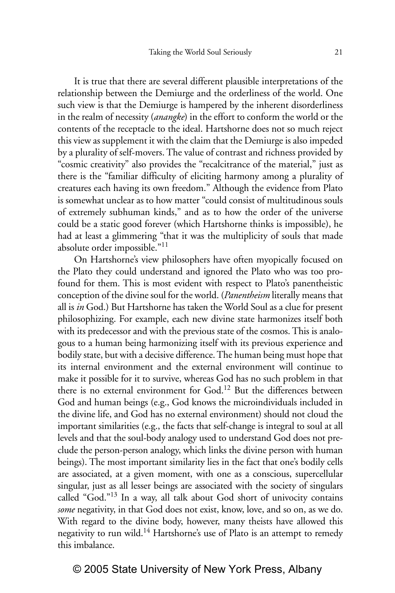It is true that there are several different plausible interpretations of the relationship between the Demiurge and the orderliness of the world. One such view is that the Demiurge is hampered by the inherent disorderliness in the realm of necessity (*anangke*) in the effort to conform the world or the contents of the receptacle to the ideal. Hartshorne does not so much reject this view as supplement it with the claim that the Demiurge is also impeded by a plurality of self-movers. The value of contrast and richness provided by "cosmic creativity" also provides the "recalcitrance of the material," just as there is the "familiar difficulty of eliciting harmony among a plurality of creatures each having its own freedom." Although the evidence from Plato is somewhat unclear as to how matter "could consist of multitudinous souls of extremely subhuman kinds," and as to how the order of the universe could be a static good forever (which Hartshorne thinks is impossible), he had at least a glimmering "that it was the multiplicity of souls that made absolute order impossible."11

On Hartshorne's view philosophers have often myopically focused on the Plato they could understand and ignored the Plato who was too profound for them. This is most evident with respect to Plato's panentheistic conception of the divine soul for the world. (*Panentheism* literally means that all is *in* God.) But Hartshorne has taken the World Soul as a clue for present philosophizing. For example, each new divine state harmonizes itself both with its predecessor and with the previous state of the cosmos. This is analogous to a human being harmonizing itself with its previous experience and bodily state, but with a decisive difference. The human being must hope that its internal environment and the external environment will continue to make it possible for it to survive, whereas God has no such problem in that there is no external environment for God.<sup>12</sup> But the differences between God and human beings (e.g., God knows the microindividuals included in the divine life, and God has no external environment) should not cloud the important similarities (e.g., the facts that self-change is integral to soul at all levels and that the soul-body analogy used to understand God does not preclude the person-person analogy, which links the divine person with human beings). The most important similarity lies in the fact that one's bodily cells are associated, at a given moment, with one as a conscious, supercellular singular, just as all lesser beings are associated with the society of singulars called "God."13 In a way, all talk about God short of univocity contains *some* negativity, in that God does not exist, know, love, and so on, as we do. With regard to the divine body, however, many theists have allowed this negativity to run wild.<sup>14</sup> Hartshorne's use of Plato is an attempt to remedy this imbalance.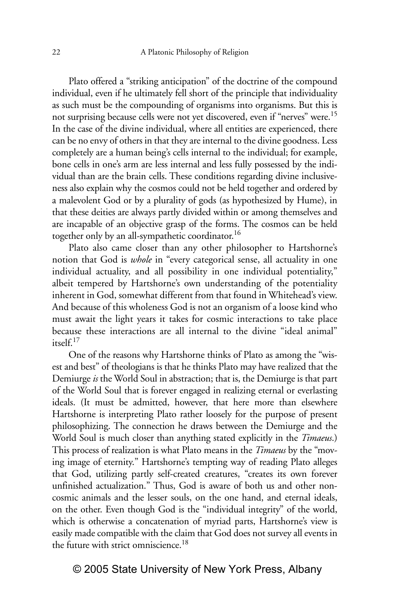Plato offered a "striking anticipation" of the doctrine of the compound individual, even if he ultimately fell short of the principle that individuality as such must be the compounding of organisms into organisms. But this is not surprising because cells were not yet discovered, even if "nerves" were.15 In the case of the divine individual, where all entities are experienced, there can be no envy of others in that they are internal to the divine goodness. Less completely are a human being's cells internal to the individual; for example, bone cells in one's arm are less internal and less fully possessed by the individual than are the brain cells. These conditions regarding divine inclusiveness also explain why the cosmos could not be held together and ordered by a malevolent God or by a plurality of gods (as hypothesized by Hume), in that these deities are always partly divided within or among themselves and are incapable of an objective grasp of the forms. The cosmos can be held together only by an all-sympathetic coordinator.<sup>16</sup>

Plato also came closer than any other philosopher to Hartshorne's notion that God is *whole* in "every categorical sense, all actuality in one individual actuality, and all possibility in one individual potentiality," albeit tempered by Hartshorne's own understanding of the potentiality inherent in God, somewhat different from that found in Whitehead's view. And because of this wholeness God is not an organism of a loose kind who must await the light years it takes for cosmic interactions to take place because these interactions are all internal to the divine "ideal animal" itself.<sup>17</sup>

One of the reasons why Hartshorne thinks of Plato as among the "wisest and best" of theologians is that he thinks Plato may have realized that the Demiurge *is* the World Soul in abstraction; that is, the Demiurge is that part of the World Soul that is forever engaged in realizing eternal or everlasting ideals. (It must be admitted, however, that here more than elsewhere Hartshorne is interpreting Plato rather loosely for the purpose of present philosophizing. The connection he draws between the Demiurge and the World Soul is much closer than anything stated explicitly in the *Timaeus*.) This process of realization is what Plato means in the *Timaeus* by the "moving image of eternity." Hartshorne's tempting way of reading Plato alleges that God, utilizing partly self-created creatures, "creates its own forever unfinished actualization." Thus, God is aware of both us and other noncosmic animals and the lesser souls, on the one hand, and eternal ideals, on the other. Even though God is the "individual integrity" of the world, which is otherwise a concatenation of myriad parts, Hartshorne's view is easily made compatible with the claim that God does not survey all events in the future with strict omniscience.<sup>18</sup>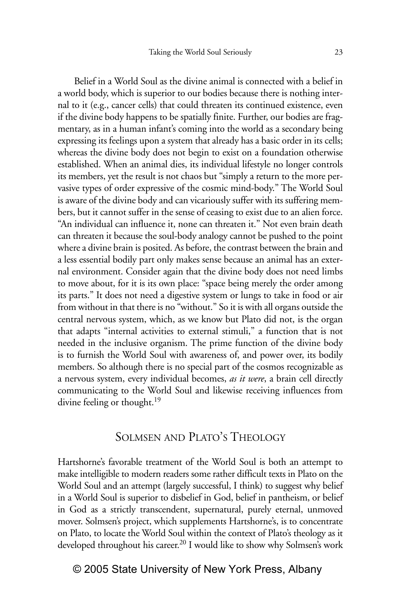Belief in a World Soul as the divine animal is connected with a belief in a world body, which is superior to our bodies because there is nothing internal to it (e.g., cancer cells) that could threaten its continued existence, even if the divine body happens to be spatially finite. Further, our bodies are fragmentary, as in a human infant's coming into the world as a secondary being expressing its feelings upon a system that already has a basic order in its cells; whereas the divine body does not begin to exist on a foundation otherwise established. When an animal dies, its individual lifestyle no longer controls its members, yet the result is not chaos but "simply a return to the more pervasive types of order expressive of the cosmic mind-body." The World Soul is aware of the divine body and can vicariously suffer with its suffering members, but it cannot suffer in the sense of ceasing to exist due to an alien force. "An individual can influence it, none can threaten it." Not even brain death can threaten it because the soul-body analogy cannot be pushed to the point where a divine brain is posited. As before, the contrast between the brain and a less essential bodily part only makes sense because an animal has an external environment. Consider again that the divine body does not need limbs to move about, for it is its own place: "space being merely the order among its parts." It does not need a digestive system or lungs to take in food or air from without in that there is no "without." So it is with all organs outside the central nervous system, which, as we know but Plato did not, is the organ that adapts "internal activities to external stimuli," a function that is not needed in the inclusive organism. The prime function of the divine body is to furnish the World Soul with awareness of, and power over, its bodily members. So although there is no special part of the cosmos recognizable as a nervous system, every individual becomes, *as it were*, a brain cell directly communicating to the World Soul and likewise receiving influences from divine feeling or thought.<sup>19</sup>

## SOLMSEN AND PLATO'S THEOLOGY

Hartshorne's favorable treatment of the World Soul is both an attempt to make intelligible to modern readers some rather difficult texts in Plato on the World Soul and an attempt (largely successful, I think) to suggest why belief in a World Soul is superior to disbelief in God, belief in pantheism, or belief in God as a strictly transcendent, supernatural, purely eternal, unmoved mover. Solmsen's project, which supplements Hartshorne's, is to concentrate on Plato, to locate the World Soul within the context of Plato's theology as it developed throughout his career.<sup>20</sup> I would like to show why Solmsen's work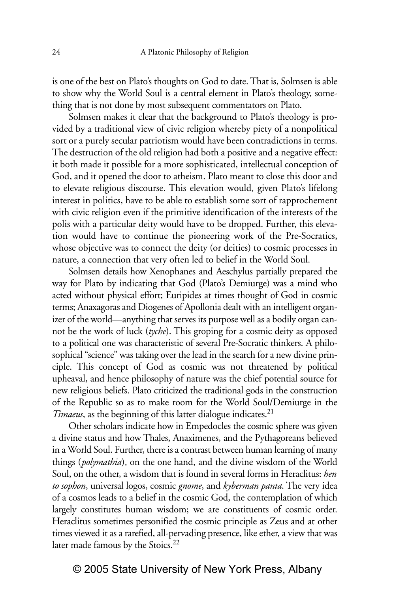is one of the best on Plato's thoughts on God to date. That is, Solmsen is able to show why the World Soul is a central element in Plato's theology, something that is not done by most subsequent commentators on Plato.

Solmsen makes it clear that the background to Plato's theology is provided by a traditional view of civic religion whereby piety of a nonpolitical sort or a purely secular patriotism would have been contradictions in terms. The destruction of the old religion had both a positive and a negative effect: it both made it possible for a more sophisticated, intellectual conception of God, and it opened the door to atheism. Plato meant to close this door and to elevate religious discourse. This elevation would, given Plato's lifelong interest in politics, have to be able to establish some sort of rapprochement with civic religion even if the primitive identification of the interests of the polis with a particular deity would have to be dropped. Further, this elevation would have to continue the pioneering work of the Pre-Socratics, whose objective was to connect the deity (or deities) to cosmic processes in nature, a connection that very often led to belief in the World Soul.

Solmsen details how Xenophanes and Aeschylus partially prepared the way for Plato by indicating that God (Plato's Demiurge) was a mind who acted without physical effort; Euripides at times thought of God in cosmic terms; Anaxagoras and Diogenes of Apollonia dealt with an intelligent organizer of the world—anything that serves its purpose well as a bodily organ cannot be the work of luck (*tyche*). This groping for a cosmic deity as opposed to a political one was characteristic of several Pre-Socratic thinkers. A philosophical "science" was taking over the lead in the search for a new divine principle. This concept of God as cosmic was not threatened by political upheaval, and hence philosophy of nature was the chief potential source for new religious beliefs. Plato criticized the traditional gods in the construction of the Republic so as to make room for the World Soul/Demiurge in the *Timaeus*, as the beginning of this latter dialogue indicates.<sup>21</sup>

Other scholars indicate how in Empedocles the cosmic sphere was given a divine status and how Thales, Anaximenes, and the Pythagoreans believed in a World Soul. Further, there is a contrast between human learning of many things (*polymathia*), on the one hand, and the divine wisdom of the World Soul, on the other, a wisdom that is found in several forms in Heraclitus: *hen to sophon*, universal logos, cosmic *gnome*, and *kyberman panta*. The very idea of a cosmos leads to a belief in the cosmic God, the contemplation of which largely constitutes human wisdom; we are constituents of cosmic order. Heraclitus sometimes personified the cosmic principle as Zeus and at other times viewed it as a rarefied, all-pervading presence, like ether, a view that was later made famous by the Stoics.<sup>22</sup>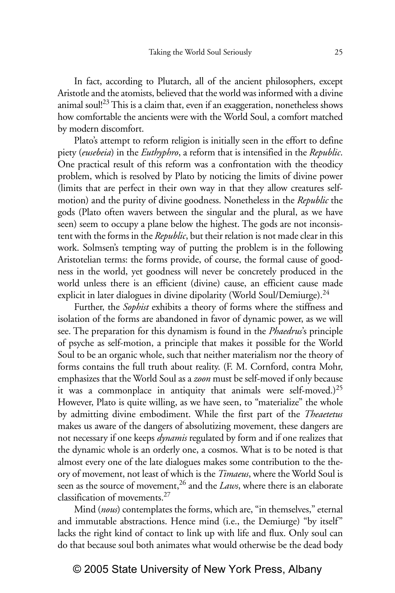In fact, according to Plutarch, all of the ancient philosophers, except Aristotle and the atomists, believed that the world was informed with a divine animal soul!<sup>23</sup> This is a claim that, even if an exaggeration, nonetheless shows how comfortable the ancients were with the World Soul, a comfort matched by modern discomfort.

Plato's attempt to reform religion is initially seen in the effort to define piety (*eusebeia*) in the *Euthyphro*, a reform that is intensified in the *Republic*. One practical result of this reform was a confrontation with the theodicy problem, which is resolved by Plato by noticing the limits of divine power (limits that are perfect in their own way in that they allow creatures selfmotion) and the purity of divine goodness. Nonetheless in the *Republic* the gods (Plato often wavers between the singular and the plural, as we have seen) seem to occupy a plane below the highest. The gods are not inconsistent with the forms in the *Republic*, but their relation is not made clear in this work. Solmsen's tempting way of putting the problem is in the following Aristotelian terms: the forms provide, of course, the formal cause of goodness in the world, yet goodness will never be concretely produced in the world unless there is an efficient (divine) cause, an efficient cause made explicit in later dialogues in divine dipolarity (World Soul/Demiurge). $^{24}$ 

Further, the *Sophist* exhibits a theory of forms where the stiffness and isolation of the forms are abandoned in favor of dynamic power, as we will see. The preparation for this dynamism is found in the *Phaedrus*'s principle of psyche as self-motion, a principle that makes it possible for the World Soul to be an organic whole, such that neither materialism nor the theory of forms contains the full truth about reality. (F. M. Cornford, contra Mohr, emphasizes that the World Soul as a *zoon* must be self-moved if only because it was a commonplace in antiquity that animals were self-moved.)<sup>25</sup> However, Plato is quite willing, as we have seen, to "materialize" the whole by admitting divine embodiment. While the first part of the *Theaetetus* makes us aware of the dangers of absolutizing movement, these dangers are not necessary if one keeps *dynamis* regulated by form and if one realizes that the dynamic whole is an orderly one, a cosmos. What is to be noted is that almost every one of the late dialogues makes some contribution to the theory of movement, not least of which is the *Timaeus*, where the World Soul is seen as the source of movement,<sup>26</sup> and the *Laws*, where there is an elaborate classification of movements.27

Mind (*nous*) contemplates the forms, which are, "in themselves," eternal and immutable abstractions. Hence mind (i.e., the Demiurge) "by itself" lacks the right kind of contact to link up with life and flux. Only soul can do that because soul both animates what would otherwise be the dead body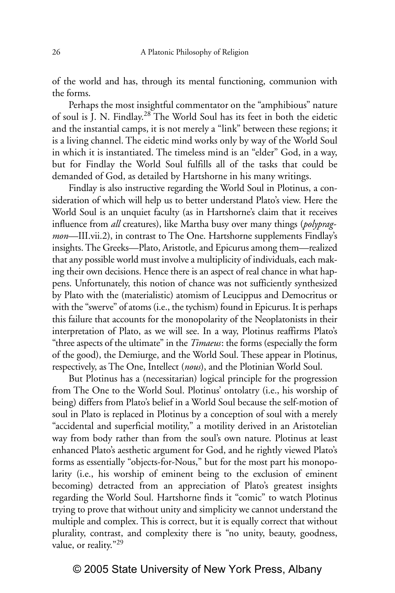of the world and has, through its mental functioning, communion with the forms.

Perhaps the most insightful commentator on the "amphibious" nature of soul is J. N. Findlay.<sup>28</sup> The World Soul has its feet in both the eidetic and the instantial camps, it is not merely a "link" between these regions; it is a living channel. The eidetic mind works only by way of the World Soul in which it is instantiated. The timeless mind is an "elder" God, in a way, but for Findlay the World Soul fulfills all of the tasks that could be demanded of God, as detailed by Hartshorne in his many writings.

Findlay is also instructive regarding the World Soul in Plotinus, a consideration of which will help us to better understand Plato's view. Here the World Soul is an unquiet faculty (as in Hartshorne's claim that it receives influence from *all* creatures), like Martha busy over many things (*polypragmon*—III.vii.2), in contrast to The One. Hartshorne supplements Findlay's insights. The Greeks—Plato, Aristotle, and Epicurus among them—realized that any possible world must involve a multiplicity of individuals, each making their own decisions. Hence there is an aspect of real chance in what happens. Unfortunately, this notion of chance was not sufficiently synthesized by Plato with the (materialistic) atomism of Leucippus and Democritus or with the "swerve" of atoms (i.e., the tychism) found in Epicurus. It is perhaps this failure that accounts for the monopolarity of the Neoplatonists in their interpretation of Plato, as we will see. In a way, Plotinus reaffirms Plato's "three aspects of the ultimate" in the *Timaeus*: the forms (especially the form of the good), the Demiurge, and the World Soul. These appear in Plotinus, respectively, as The One, Intellect (*nous*), and the Plotinian World Soul.

But Plotinus has a (necessitarian) logical principle for the progression from The One to the World Soul. Plotinus' ontolatry (i.e., his worship of being) differs from Plato's belief in a World Soul because the self-motion of soul in Plato is replaced in Plotinus by a conception of soul with a merely "accidental and superficial motility," a motility derived in an Aristotelian way from body rather than from the soul's own nature. Plotinus at least enhanced Plato's aesthetic argument for God, and he rightly viewed Plato's forms as essentially "objects-for-Nous," but for the most part his monopolarity (i.e., his worship of eminent being to the exclusion of eminent becoming) detracted from an appreciation of Plato's greatest insights regarding the World Soul. Hartshorne finds it "comic" to watch Plotinus trying to prove that without unity and simplicity we cannot understand the multiple and complex. This is correct, but it is equally correct that without plurality, contrast, and complexity there is "no unity, beauty, goodness, value, or reality."<sup>29</sup>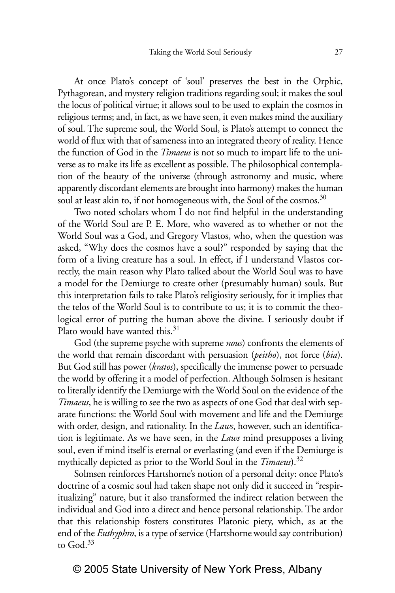At once Plato's concept of 'soul' preserves the best in the Orphic, Pythagorean, and mystery religion traditions regarding soul; it makes the soul the locus of political virtue; it allows soul to be used to explain the cosmos in religious terms; and, in fact, as we have seen, it even makes mind the auxiliary of soul. The supreme soul, the World Soul, is Plato's attempt to connect the world of flux with that of sameness into an integrated theory of reality. Hence the function of God in the *Timaeus* is not so much to impart life to the universe as to make its life as excellent as possible. The philosophical contemplation of the beauty of the universe (through astronomy and music, where apparently discordant elements are brought into harmony) makes the human soul at least akin to, if not homogeneous with, the Soul of the cosmos.<sup>30</sup>

Two noted scholars whom I do not find helpful in the understanding of the World Soul are P. E. More, who wavered as to whether or not the World Soul was a God, and Gregory Vlastos, who, when the question was asked, "Why does the cosmos have a soul?" responded by saying that the form of a living creature has a soul. In effect, if I understand Vlastos correctly, the main reason why Plato talked about the World Soul was to have a model for the Demiurge to create other (presumably human) souls. But this interpretation fails to take Plato's religiosity seriously, for it implies that the telos of the World Soul is to contribute to us; it is to commit the theological error of putting the human above the divine. I seriously doubt if Plato would have wanted this.<sup>31</sup>

God (the supreme psyche with supreme *nous*) confronts the elements of the world that remain discordant with persuasion (*peitho*), not force (*bia*). But God still has power (*kratos*), specifically the immense power to persuade the world by offering it a model of perfection. Although Solmsen is hesitant to literally identify the Demiurge with the World Soul on the evidence of the *Timaeus*, he is willing to see the two as aspects of one God that deal with separate functions: the World Soul with movement and life and the Demiurge with order, design, and rationality. In the *Laws*, however, such an identification is legitimate. As we have seen, in the *Laws* mind presupposes a living soul, even if mind itself is eternal or everlasting (and even if the Demiurge is mythically depicted as prior to the World Soul in the *Timaeus*).32

Solmsen reinforces Hartshorne's notion of a personal deity: once Plato's doctrine of a cosmic soul had taken shape not only did it succeed in "respiritualizing" nature, but it also transformed the indirect relation between the individual and God into a direct and hence personal relationship. The ardor that this relationship fosters constitutes Platonic piety, which, as at the end of the *Euthyphro*, is a type of service (Hartshorne would say contribution) to  $God.<sup>33</sup>$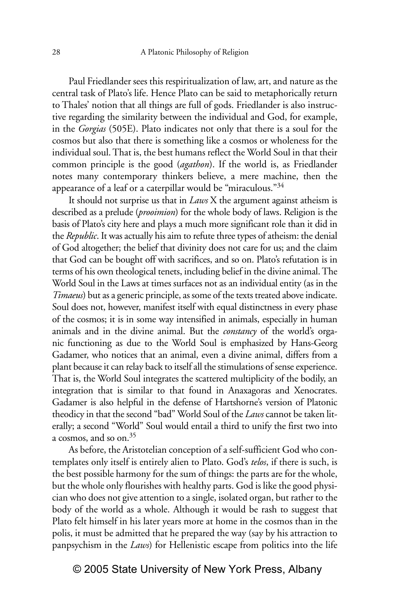Paul Friedlander sees this respiritualization of law, art, and nature as the central task of Plato's life. Hence Plato can be said to metaphorically return to Thales' notion that all things are full of gods. Friedlander is also instructive regarding the similarity between the individual and God, for example, in the *Gorgias* (505E). Plato indicates not only that there is a soul for the cosmos but also that there is something like a cosmos or wholeness for the individual soul. That is, the best humans reflect the World Soul in that their common principle is the good (*agathon*). If the world is, as Friedlander notes many contemporary thinkers believe, a mere machine, then the appearance of a leaf or a caterpillar would be "miraculous."<sup>34</sup>

It should not surprise us that in *Laws* X the argument against atheism is described as a prelude (*prooimion*) for the whole body of laws. Religion is the basis of Plato's city here and plays a much more significant role than it did in the *Republic*. It was actually his aim to refute three types of atheism: the denial of God altogether; the belief that divinity does not care for us; and the claim that God can be bought off with sacrifices, and so on. Plato's refutation is in terms of his own theological tenets, including belief in the divine animal. The World Soul in the Laws at times surfaces not as an individual entity (as in the *Timaeus*) but as a generic principle, as some of the texts treated above indicate. Soul does not, however, manifest itself with equal distinctness in every phase of the cosmos; it is in some way intensified in animals, especially in human animals and in the divine animal. But the *constancy* of the world's organic functioning as due to the World Soul is emphasized by Hans-Georg Gadamer, who notices that an animal, even a divine animal, differs from a plant because it can relay back to itself all the stimulations of sense experience. That is, the World Soul integrates the scattered multiplicity of the bodily, an integration that is similar to that found in Anaxagoras and Xenocrates. Gadamer is also helpful in the defense of Hartshorne's version of Platonic theodicy in that the second "bad" World Soul of the *Laws* cannot be taken literally; a second "World" Soul would entail a third to unify the first two into a cosmos, and so on.<sup>35</sup>

As before, the Aristotelian conception of a self-sufficient God who contemplates only itself is entirely alien to Plato. God's *telos*, if there is such, is the best possible harmony for the sum of things: the parts are for the whole, but the whole only flourishes with healthy parts. God is like the good physician who does not give attention to a single, isolated organ, but rather to the body of the world as a whole. Although it would be rash to suggest that Plato felt himself in his later years more at home in the cosmos than in the polis, it must be admitted that he prepared the way (say by his attraction to panpsychism in the *Laws*) for Hellenistic escape from politics into the life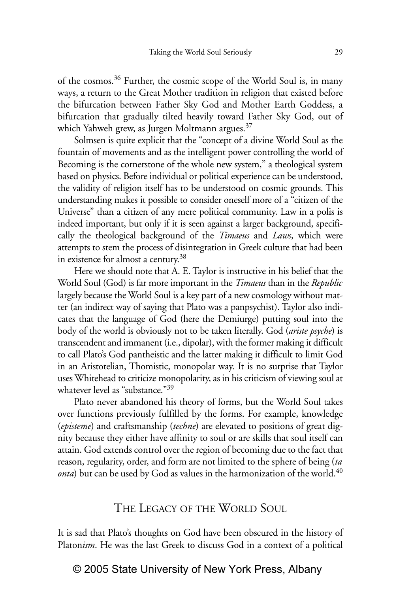of the cosmos.<sup>36</sup> Further, the cosmic scope of the World Soul is, in many ways, a return to the Great Mother tradition in religion that existed before the bifurcation between Father Sky God and Mother Earth Goddess, a bifurcation that gradually tilted heavily toward Father Sky God, out of which Yahweh grew, as Jurgen Moltmann argues.<sup>37</sup>

Solmsen is quite explicit that the "concept of a divine World Soul as the fountain of movements and as the intelligent power controlling the world of Becoming is the cornerstone of the whole new system," a theological system based on physics. Before individual or political experience can be understood, the validity of religion itself has to be understood on cosmic grounds. This understanding makes it possible to consider oneself more of a "citizen of the Universe" than a citizen of any mere political community. Law in a polis is indeed important, but only if it is seen against a larger background, specifically the theological background of the *Timaeus* and *Laws*, which were attempts to stem the process of disintegration in Greek culture that had been in existence for almost a century.<sup>38</sup>

Here we should note that A. E. Taylor is instructive in his belief that the World Soul (God) is far more important in the *Timaeus* than in the *Republic* largely because the World Soul is a key part of a new cosmology without matter (an indirect way of saying that Plato was a panpsychist). Taylor also indicates that the language of God (here the Demiurge) putting soul into the body of the world is obviously not to be taken literally. God (*ariste psyche*) is transcendent and immanent (i.e., dipolar), with the former making it difficult to call Plato's God pantheistic and the latter making it difficult to limit God in an Aristotelian, Thomistic, monopolar way. It is no surprise that Taylor uses Whitehead to criticize monopolarity, as in his criticism of viewing soul at whatever level as "substance."<sup>39</sup>

Plato never abandoned his theory of forms, but the World Soul takes over functions previously fulfilled by the forms. For example, knowledge (*episteme*) and craftsmanship (*techne*) are elevated to positions of great dignity because they either have affinity to soul or are skills that soul itself can attain. God extends control over the region of becoming due to the fact that reason, regularity, order, and form are not limited to the sphere of being (*ta onta*) but can be used by God as values in the harmonization of the world.<sup>40</sup>

#### THE LEGACY OF THE WORLD SOUL

It is sad that Plato's thoughts on God have been obscured in the history of Platon*ism*. He was the last Greek to discuss God in a context of a political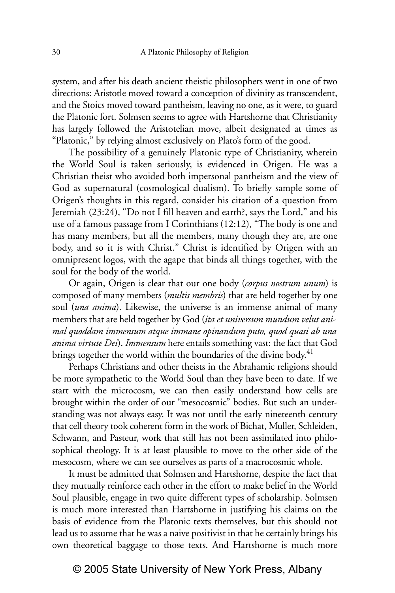system, and after his death ancient theistic philosophers went in one of two directions: Aristotle moved toward a conception of divinity as transcendent, and the Stoics moved toward pantheism, leaving no one, as it were, to guard the Platonic fort. Solmsen seems to agree with Hartshorne that Christianity has largely followed the Aristotelian move, albeit designated at times as "Platonic," by relying almost exclusively on Plato's form of the good.

The possibility of a genuinely Platonic type of Christianity, wherein the World Soul is taken seriously, is evidenced in Origen. He was a Christian theist who avoided both impersonal pantheism and the view of God as supernatural (cosmological dualism). To briefly sample some of Origen's thoughts in this regard, consider his citation of a question from Jeremiah (23:24), "Do not I fill heaven and earth?, says the Lord," and his use of a famous passage from I Corinthians (12:12), "The body is one and has many members, but all the members, many though they are, are one body, and so it is with Christ." Christ is identified by Origen with an omnipresent logos, with the agape that binds all things together, with the soul for the body of the world.

Or again, Origen is clear that our one body (*corpus nostrum unum*) is composed of many members (*multis membris*) that are held together by one soul (*una anima*). Likewise, the universe is an immense animal of many members that are held together by God (*ita et universum mundum velut animal quoddam immensum atque immane opinandum puto, quod quasi ab una anima virtute Dei*). *Immensum* here entails something vast: the fact that God brings together the world within the boundaries of the divine body. $41$ 

Perhaps Christians and other theists in the Abrahamic religions should be more sympathetic to the World Soul than they have been to date. If we start with the microcosm, we can then easily understand how cells are brought within the order of our "mesocosmic" bodies. But such an understanding was not always easy. It was not until the early nineteenth century that cell theory took coherent form in the work of Bichat, Muller, Schleiden, Schwann, and Pasteur, work that still has not been assimilated into philosophical theology. It is at least plausible to move to the other side of the mesocosm, where we can see ourselves as parts of a macrocosmic whole.

It must be admitted that Solmsen and Hartshorne, despite the fact that they mutually reinforce each other in the effort to make belief in the World Soul plausible, engage in two quite different types of scholarship. Solmsen is much more interested than Hartshorne in justifying his claims on the basis of evidence from the Platonic texts themselves, but this should not lead us to assume that he was a naive positivist in that he certainly brings his own theoretical baggage to those texts. And Hartshorne is much more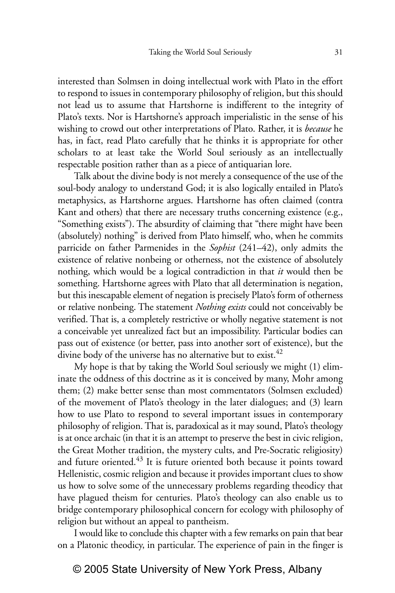interested than Solmsen in doing intellectual work with Plato in the effort to respond to issues in contemporary philosophy of religion, but this should not lead us to assume that Hartshorne is indifferent to the integrity of Plato's texts. Nor is Hartshorne's approach imperialistic in the sense of his wishing to crowd out other interpretations of Plato. Rather, it is *because* he has, in fact, read Plato carefully that he thinks it is appropriate for other scholars to at least take the World Soul seriously as an intellectually respectable position rather than as a piece of antiquarian lore.

Talk about the divine body is not merely a consequence of the use of the soul-body analogy to understand God; it is also logically entailed in Plato's metaphysics, as Hartshorne argues. Hartshorne has often claimed (contra Kant and others) that there are necessary truths concerning existence (e.g., "Something exists"). The absurdity of claiming that "there might have been (absolutely) nothing" is derived from Plato himself, who, when he commits parricide on father Parmenides in the *Sophist* (241–42), only admits the existence of relative nonbeing or otherness, not the existence of absolutely nothing, which would be a logical contradiction in that *it* would then be something. Hartshorne agrees with Plato that all determination is negation, but this inescapable element of negation is precisely Plato's form of otherness or relative nonbeing. The statement *Nothing exists* could not conceivably be verified. That is, a completely restrictive or wholly negative statement is not a conceivable yet unrealized fact but an impossibility. Particular bodies can pass out of existence (or better, pass into another sort of existence), but the divine body of the universe has no alternative but to exist.  $42$ 

My hope is that by taking the World Soul seriously we might (1) eliminate the oddness of this doctrine as it is conceived by many, Mohr among them; (2) make better sense than most commentators (Solmsen excluded) of the movement of Plato's theology in the later dialogues; and (3) learn how to use Plato to respond to several important issues in contemporary philosophy of religion. That is, paradoxical as it may sound, Plato's theology is at once archaic (in that it is an attempt to preserve the best in civic religion, the Great Mother tradition, the mystery cults, and Pre-Socratic religiosity) and future oriented.<sup>43</sup> It is future oriented both because it points toward Hellenistic, cosmic religion and because it provides important clues to show us how to solve some of the unnecessary problems regarding theodicy that have plagued theism for centuries. Plato's theology can also enable us to bridge contemporary philosophical concern for ecology with philosophy of religion but without an appeal to pantheism.

I would like to conclude this chapter with a few remarks on pain that bear on a Platonic theodicy, in particular. The experience of pain in the finger is